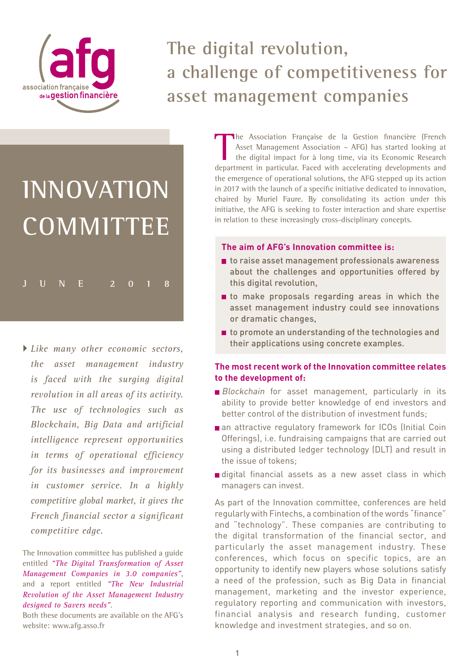

# **The digital revolution, a challenge of competitiveness for asset management companies**

# **Innovation COMMITTEE**

**june 2018**

 *Like many other economic sectors, the asset management industry is faced with the surging digital revolution in all areas of its activity. The use of technologies such as Blockchain, Big Data and artificial intelligence represent opportunities in terms of operational efficiency for its businesses and improvement in customer service. In a highly competitive global market, it gives the French financial sector a significant competitive edge.*

The Innovation committee has published a guide entitled *"The Digital Transformation of Asset Management Companies in 3.0 companies["](http://www.afg.asso.fr/wp-content/uploads/2017/01/AFG_GuideTransformationDigitale_20170116.pdf)*, and a report entitled *"The New Industrial Revolution of the Asset Management Industry designed to Savers needs"*[.](http://www.afg.asso.fr/wp-content/uploads/2017/01/AFG_RevGestionActifs170106web.pdf) 

Both these documents are available on the AFG's website: www.afg.asso.fr

The Association Française de la Gestion financière (French<br>Asset Management Association – AFG) has started looking at<br>the digital impact for à long time, via its Economic Research<br>department in particular Eaced with accele Asset Management Association – AFG) has started looking at the digital impact for à long time, via its Economic Research department in particular. Faced with accelerating developments and the emergence of operational solutions, the AFG stepped up its action in 2017 with the launch of a specific initiative dedicated to innovation, chaired by Muriel Faure. By consolidating its action under this initiative, the AFG is seeking to foster interaction and share expertise in relation to these increasingly cross-disciplinary concepts.

#### **The aim of AFG's Innovation committee is:**

- to raise asset management professionals awareness about the challenges and opportunities offered by this digital revolution,
- to make proposals regarding areas in which the asset management industry could see innovations or dramatic changes,
- to promote an understanding of the technologies and their applications using concrete examples.

#### **The most recent work of the Innovation committee relates to the development of:**

- **Blockchain** for asset management, particularly in its ability to provide better knowledge of end investors and better control of the distribution of investment funds;
- an attractive regulatory framework for ICOs (Initial Coin Offerings), i.e. fundraising campaigns that are carried out using a distributed ledger technology (DLT) and result in the issue of tokens;
- digital financial assets as a new asset class in which managers can invest.

As part of the Innovation committee, conferences are held regularly with Fintechs, a combination of the words "finance" and "technology". These companies are contributing to the digital transformation of the financial sector, and particularly the asset management industry. These conferences, which focus on specific topics, are an opportunity to identify new players whose solutions satisfy a need of the profession, such as Big Data in financial management, marketing and the investor experience, regulatory reporting and communication with investors, financial analysis and research funding, customer knowledge and investment strategies, and so on.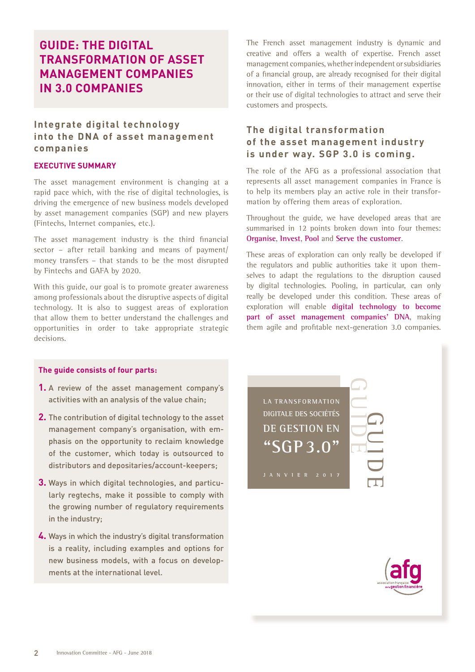## **GUIDE: THE DIGITAL TRANSFORMATION OF ASSET MANAGEMENT COMPANIES IN 3.0 COMPANIES**

#### **Integrate digital technology into the DNA of asset management companies**

#### **EXECUTIVE SUMMARY**

The asset management environment is changing at a rapid pace which, with the rise of digital technologies, is driving the emergence of new business models developed by asset management companies (SGP) and new players (Fintechs, Internet companies, etc.).

The asset management industry is the third financial sector – after retail banking and means of payment/ money transfers – that stands to be the most disrupted by Fintechs and GAFA by 2020.

With this guide, our goal is to promote greater awareness among professionals about the disruptive aspects of digital technology. It is also to suggest areas of exploration that allow them to better understand the challenges and opportunities in order to take appropriate strategic decisions.

#### **The guide consists of four parts:**

- **1.** A review of the asset management company's activities with an analysis of the value chain;
- **2.** The contribution of digital technology to the asset management company's organisation, with emphasis on the opportunity to reclaim knowledge of the customer, which today is outsourced to distributors and depositaries/account-keepers;
- **3.** Ways in which digital technologies, and particularly regtechs, make it possible to comply with the growing number of regulatory requirements in the industry;
- **4.** Ways in which the industry's digital transformation is a reality, including examples and options for new business models, with a focus on developments at the international level.

The French asset management industry is dynamic and creative and offers a wealth of expertise. French asset management companies, whether independent or subsidiaries of a financial group, are already recognised for their digital innovation, either in terms of their management expertise or their use of digital technologies to attract and serve their customers and prospects.

#### **The digital transformation of the asset management industry is under way. SGP 3.0 is coming.**

The role of the AFG as a professional association that represents all asset management companies in France is to help its members play an active role in their transformation by offering them areas of exploration.

Throughout the guide, we have developed areas that are summarised in 12 points broken down into four themes: **Organise**, **Invest**, **Pool** and **Serve the customer**.

These areas of exploration can only really be developed if the regulators and public authorities take it upon themselves to adapt the regulations to the disruption caused by digital technologies. Pooling, in particular, can only really be developed under this condition. These areas of exploration will enable **digital technology to become part of asset management companies' DNA**, making them agile and profitable next-generation 3.0 companies.

**LA TRANSFORMATION DIGITALE DES SOCIÉTÉS DE GESTION EN ["SGP 3.0"](http://www.afg.asso.fr/wp-content/uploads/2017/01/AFG_GuideTransformationDigitale_20170116.pdf)** 



GUIDE

GUIDE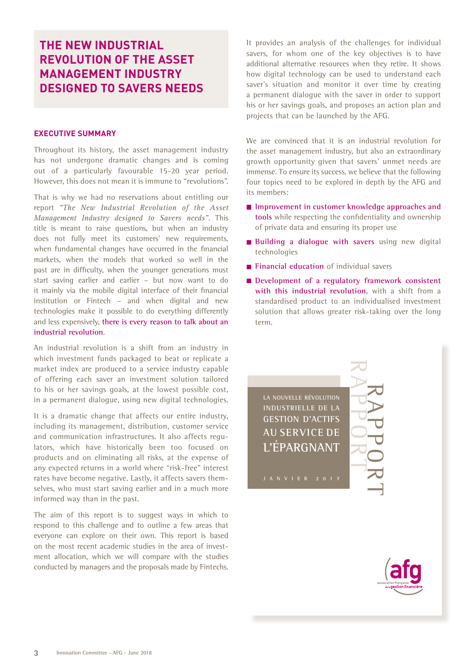## **THE NEW INDUSTRIAL REVOLUTION OF THE ASSET MANAGEMENT INDUSTRY DESIGNED TO SAVERS NEEDS**

#### **EXECUTIVE SUMMARY**

Throughout its history, the asset management industry has not undergone dramatic changes and is coming out of a particularly favourable 15-20 year period. However, this does not mean it is immune to "revolutions".

That is why we had no reservations about entitling our report *"The New Industrial Revolution of the Asset Management Industry designed to Savers needs"*. This title is meant to raise questions, but when an industry does not fully meet its customers' new requirements, when fundamental changes have occurred in the financial markets, when the models that worked so well in the past are in difficulty, when the younger generations must start saving earlier and earlier – but now want to do it mainly via the mobile digital interface of their financial institution or Fintech – and when digital and new technologies make it possible to do everything differently and less expensively, **there is every reason to talk about an industrial revolution**.

An industrial revolution is a shift from an industry in which investment funds packaged to beat or replicate a market index are produced to a service industry capable of offering each saver an investment solution tailored to his or her savings goals, at the lowest possible cost, in a permanent dialogue, using new digital technologies.

It is a dramatic change that affects our entire industry, including its management, distribution, customer service and communication infrastructures. It also affects regulators, which have historically been too focused on products and on eliminating all risks, at the expense of any expected returns in a world where "risk-free" interest rates have become negative. Lastly, it affects savers themselves, who must start saving earlier and in a much more informed way than in the past.

The aim of this report is to suggest ways in which to respond to this challenge and to outline a few areas that everyone can explore on their own. This report is based on the most recent academic studies in the area of investment allocation, which we will compare with the studies conducted by managers and the proposals made by Fintechs.

It provides an analysis of the challenges for individual savers, for whom one of the key objectives is to have additional alternative resources when they retire. It shows how digital technology can be used to understand each saver's situation and monitor it over time by creating a permanent dialogue with the saver in order to support his or her savings goals, and proposes an action plan and projects that can be launched by the AFG.

We are convinced that it is an industrial revolution for the asset management industry, but also an extraordinary growth opportunity given that savers' unmet needs are immense. To ensure its success, we believe that the following four topics need to be explored in depth by the AFG and its members:

- **Improvement in customer knowledge approaches and tools** while respecting the confidentiality and ownership of private data and ensuring its proper use
- **Building a dialogue with savers** using new digital technologies
- **Financial education** of individual savers
- Development of a regulatory framework consistent **with this industrial revolution**, with a shift from a standardised product to an individualised investment solution that allows greater risk-taking over the long term.

**La NouveLLe révoLutioN iNdustrieLLe de La GestioN d'actifs au service de L'éparGNaNt**



[RAPPORT](http://www.afg.asso.fr/wp-content/uploads/2017/01/AFG_RevGestionActifs170106web.pdf)

RAPPORT